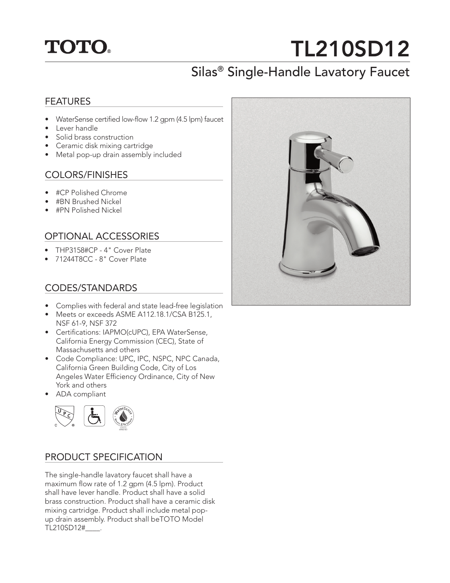## **TOTO.**

# TL210SD12

## Silas® Single-Handle Lavatory Faucet

#### FEATURES

- WaterSense certified low-flow 1.2 gpm (4.5 lpm) faucet
- Lever handle
- Solid brass construction
- Ceramic disk mixing cartridge
- Metal pop-up drain assembly included

#### COLORS/FINISHES

- #CP Polished Chrome
- #BN Brushed Nickel
- #PN Polished Nickel

#### OPTIONAL ACCESSORIES

- THP3158#CP 4" Cover Plate
- 71244T8CC 8" Cover Plate

#### CODES/STANDARDS

- Complies with federal and state lead-free legislation
- Meets or exceeds ASME A112.18.1/CSA B125.1, NSF 61-9, NSF 372
- Certifications: IAPMO(cUPC), EPA WaterSense, California Energy Commission (CEC), State of Massachusetts and others
- Code Compliance: UPC, IPC, NSPC, NPC Canada, California Green Building Code, City of Los Angeles Water Efficiency Ordinance, City of New York and others
- ADA compliant



#### PRODUCT SPECIFICATION

The single-handle lavatory faucet shall have a maximum flow rate of 1.2 gpm (4.5 lpm). Product shall have lever handle. Product shall have a solid brass construction. Product shall have a ceramic disk mixing cartridge. Product shall include metal popup drain assembly. Product shall beTOTO Model TL210SD12#\_\_\_\_.